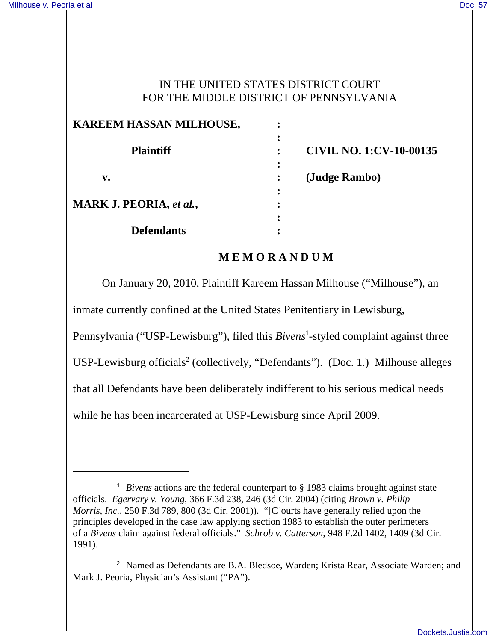### IN THE UNITED STATES DISTRICT COURT FOR THE MIDDLE DISTRICT OF PENNSYLVANIA

| KAREEM HASSAN MILHOUSE,        | ٠                                   |
|--------------------------------|-------------------------------------|
| <b>Plaintiff</b>               | ٠<br><b>CIVIL NO. 1:CV-10-00135</b> |
| v.                             | (Judge Rambo)                       |
| <b>MARK J. PEORIA, et al.,</b> | ٠                                   |
| <b>Defendants</b>              |                                     |

# **M E M O R A N D U M**

On January 20, 2010, Plaintiff Kareem Hassan Milhouse ("Milhouse"), an

inmate currently confined at the United States Penitentiary in Lewisburg,

Pennsylvania ("USP-Lewisburg"), filed this *Bivens*<sup>1</sup>-styled complaint against three

USP-Lewisburg officials<sup>2</sup> (collectively, "Defendants"). (Doc. 1.) Milhouse alleges

that all Defendants have been deliberately indifferent to his serious medical needs

while he has been incarcerated at USP-Lewisburg since April 2009.

<sup>&</sup>lt;sup>1</sup> *Bivens* actions are the federal counterpart to § 1983 claims brought against state officials. *Egervary v. Young*, 366 F.3d 238, 246 (3d Cir. 2004) (citing *Brown v. Philip Morris, Inc.*, 250 F.3d 789, 800 (3d Cir. 2001)). "[C]ourts have generally relied upon the principles developed in the case law applying section 1983 to establish the outer perimeters of a *Bivens* claim against federal officials." *Schrob v. Catterson*, 948 F.2d 1402, 1409 (3d Cir. 1991).

<sup>2</sup> Named as Defendants are B.A. Bledsoe, Warden; Krista Rear, Associate Warden; and Mark J. Peoria, Physician's Assistant ("PA").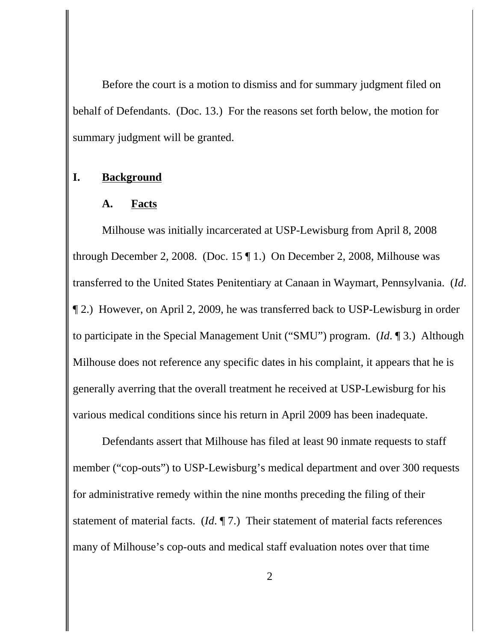Before the court is a motion to dismiss and for summary judgment filed on behalf of Defendants. (Doc. 13.) For the reasons set forth below, the motion for summary judgment will be granted.

# **I. Background**

#### **A. Facts**

Milhouse was initially incarcerated at USP-Lewisburg from April 8, 2008 through December 2, 2008. (Doc. 15 ¶ 1.) On December 2, 2008, Milhouse was transferred to the United States Penitentiary at Canaan in Waymart, Pennsylvania. (*Id*. ¶ 2.) However, on April 2, 2009, he was transferred back to USP-Lewisburg in order to participate in the Special Management Unit ("SMU") program. (*Id*. ¶ 3.) Although Milhouse does not reference any specific dates in his complaint, it appears that he is generally averring that the overall treatment he received at USP-Lewisburg for his various medical conditions since his return in April 2009 has been inadequate.

Defendants assert that Milhouse has filed at least 90 inmate requests to staff member ("cop-outs") to USP-Lewisburg's medical department and over 300 requests for administrative remedy within the nine months preceding the filing of their statement of material facts. (*Id*. ¶ 7.) Their statement of material facts references many of Milhouse's cop-outs and medical staff evaluation notes over that time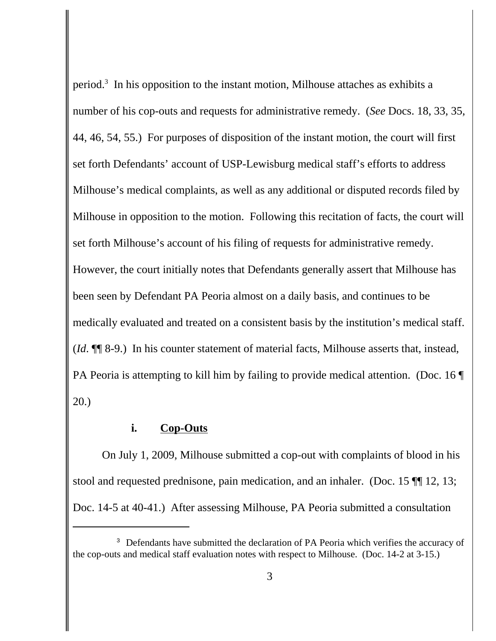period.3 In his opposition to the instant motion, Milhouse attaches as exhibits a number of his cop-outs and requests for administrative remedy. (*See* Docs. 18, 33, 35, 44, 46, 54, 55.) For purposes of disposition of the instant motion, the court will first set forth Defendants' account of USP-Lewisburg medical staff's efforts to address Milhouse's medical complaints, as well as any additional or disputed records filed by Milhouse in opposition to the motion. Following this recitation of facts, the court will set forth Milhouse's account of his filing of requests for administrative remedy. However, the court initially notes that Defendants generally assert that Milhouse has been seen by Defendant PA Peoria almost on a daily basis, and continues to be medically evaluated and treated on a consistent basis by the institution's medical staff. (*Id*. ¶¶ 8-9.) In his counter statement of material facts, Milhouse asserts that, instead, PA Peoria is attempting to kill him by failing to provide medical attention. (Doc. 16 20.)

# **i. Cop-Outs**

On July 1, 2009, Milhouse submitted a cop-out with complaints of blood in his stool and requested prednisone, pain medication, and an inhaler. (Doc. 15 ¶¶ 12, 13; Doc. 14-5 at 40-41.) After assessing Milhouse, PA Peoria submitted a consultation

<sup>&</sup>lt;sup>3</sup> Defendants have submitted the declaration of PA Peoria which verifies the accuracy of the cop-outs and medical staff evaluation notes with respect to Milhouse. (Doc. 14-2 at 3-15.)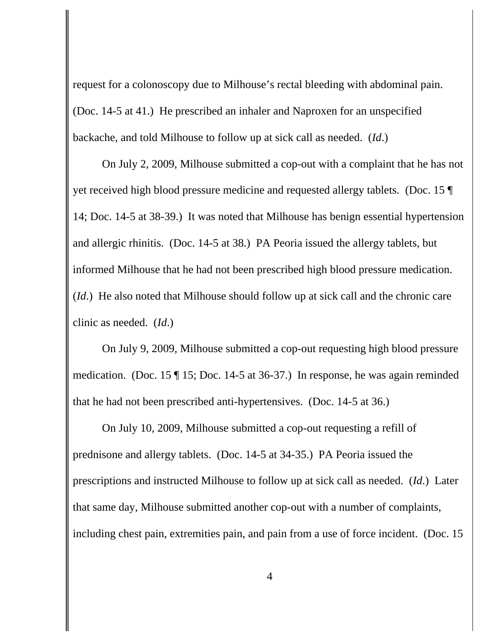request for a colonoscopy due to Milhouse's rectal bleeding with abdominal pain. (Doc. 14-5 at 41.) He prescribed an inhaler and Naproxen for an unspecified backache, and told Milhouse to follow up at sick call as needed. (*Id*.)

On July 2, 2009, Milhouse submitted a cop-out with a complaint that he has not yet received high blood pressure medicine and requested allergy tablets. (Doc. 15 ¶ 14; Doc. 14-5 at 38-39.) It was noted that Milhouse has benign essential hypertension and allergic rhinitis. (Doc. 14-5 at 38.) PA Peoria issued the allergy tablets, but informed Milhouse that he had not been prescribed high blood pressure medication. (*Id*.) He also noted that Milhouse should follow up at sick call and the chronic care clinic as needed. (*Id*.)

On July 9, 2009, Milhouse submitted a cop-out requesting high blood pressure medication. (Doc. 15 ¶ 15; Doc. 14-5 at 36-37.) In response, he was again reminded that he had not been prescribed anti-hypertensives. (Doc. 14-5 at 36.)

On July 10, 2009, Milhouse submitted a cop-out requesting a refill of prednisone and allergy tablets. (Doc. 14-5 at 34-35.) PA Peoria issued the prescriptions and instructed Milhouse to follow up at sick call as needed. (*Id*.) Later that same day, Milhouse submitted another cop-out with a number of complaints, including chest pain, extremities pain, and pain from a use of force incident. (Doc. 15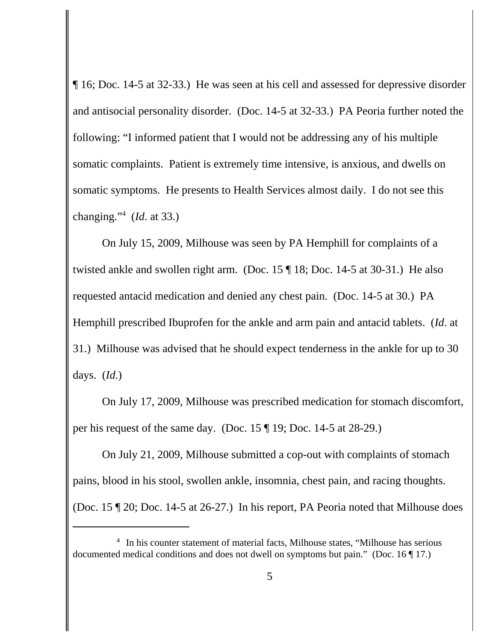¶ 16; Doc. 14-5 at 32-33.) He was seen at his cell and assessed for depressive disorder and antisocial personality disorder. (Doc. 14-5 at 32-33.) PA Peoria further noted the following: "I informed patient that I would not be addressing any of his multiple somatic complaints. Patient is extremely time intensive, is anxious, and dwells on somatic symptoms. He presents to Health Services almost daily. I do not see this changing."4 (*Id*. at 33.)

On July 15, 2009, Milhouse was seen by PA Hemphill for complaints of a twisted ankle and swollen right arm. (Doc. 15 ¶ 18; Doc. 14-5 at 30-31.) He also requested antacid medication and denied any chest pain. (Doc. 14-5 at 30.) PA Hemphill prescribed Ibuprofen for the ankle and arm pain and antacid tablets. (*Id*. at 31.) Milhouse was advised that he should expect tenderness in the ankle for up to 30 days. (*Id*.)

On July 17, 2009, Milhouse was prescribed medication for stomach discomfort, per his request of the same day. (Doc. 15 ¶ 19; Doc. 14-5 at 28-29.)

On July 21, 2009, Milhouse submitted a cop-out with complaints of stomach pains, blood in his stool, swollen ankle, insomnia, chest pain, and racing thoughts. (Doc. 15 ¶ 20; Doc. 14-5 at 26-27.) In his report, PA Peoria noted that Milhouse does

<sup>&</sup>lt;sup>4</sup> In his counter statement of material facts, Milhouse states, "Milhouse has serious documented medical conditions and does not dwell on symptoms but pain." (Doc. 16 ¶ 17.)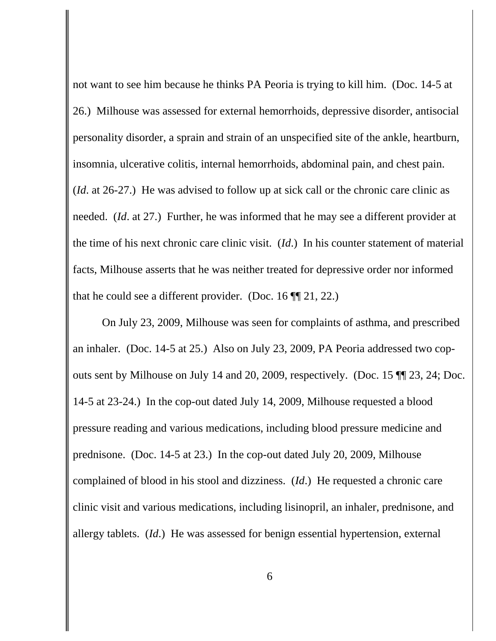not want to see him because he thinks PA Peoria is trying to kill him. (Doc. 14-5 at 26.) Milhouse was assessed for external hemorrhoids, depressive disorder, antisocial personality disorder, a sprain and strain of an unspecified site of the ankle, heartburn, insomnia, ulcerative colitis, internal hemorrhoids, abdominal pain, and chest pain. (*Id*. at 26-27.) He was advised to follow up at sick call or the chronic care clinic as needed. (*Id*. at 27.) Further, he was informed that he may see a different provider at the time of his next chronic care clinic visit. (*Id*.) In his counter statement of material facts, Milhouse asserts that he was neither treated for depressive order nor informed that he could see a different provider. (Doc. 16 ¶¶ 21, 22.)

On July 23, 2009, Milhouse was seen for complaints of asthma, and prescribed an inhaler. (Doc. 14-5 at 25.) Also on July 23, 2009, PA Peoria addressed two copouts sent by Milhouse on July 14 and 20, 2009, respectively. (Doc. 15 ¶¶ 23, 24; Doc. 14-5 at 23-24.) In the cop-out dated July 14, 2009, Milhouse requested a blood pressure reading and various medications, including blood pressure medicine and prednisone. (Doc. 14-5 at 23.) In the cop-out dated July 20, 2009, Milhouse complained of blood in his stool and dizziness. (*Id*.) He requested a chronic care clinic visit and various medications, including lisinopril, an inhaler, prednisone, and allergy tablets. (*Id*.) He was assessed for benign essential hypertension, external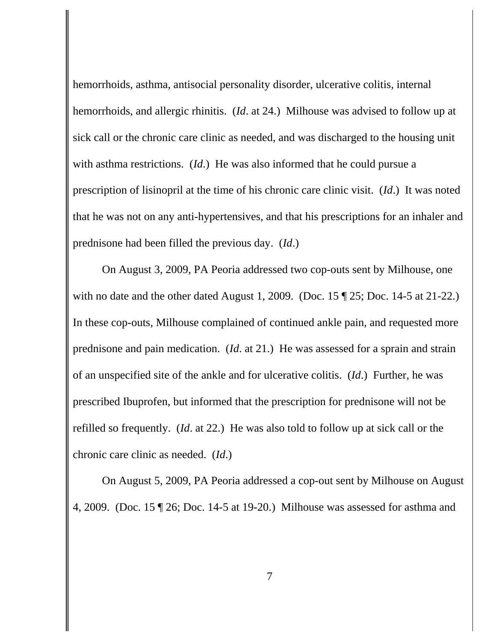hemorrhoids, asthma, antisocial personality disorder, ulcerative colitis, internal hemorrhoids, and allergic rhinitis. (*Id*. at 24.) Milhouse was advised to follow up at sick call or the chronic care clinic as needed, and was discharged to the housing unit with asthma restrictions. (*Id*.) He was also informed that he could pursue a prescription of lisinopril at the time of his chronic care clinic visit. (*Id*.) It was noted that he was not on any anti-hypertensives, and that his prescriptions for an inhaler and prednisone had been filled the previous day. (*Id*.)

On August 3, 2009, PA Peoria addressed two cop-outs sent by Milhouse, one with no date and the other dated August 1, 2009. (Doc. 15 ¶ 25; Doc. 14-5 at 21-22.) In these cop-outs, Milhouse complained of continued ankle pain, and requested more prednisone and pain medication. (*Id*. at 21.) He was assessed for a sprain and strain of an unspecified site of the ankle and for ulcerative colitis. (*Id*.) Further, he was prescribed Ibuprofen, but informed that the prescription for prednisone will not be refilled so frequently. (*Id*. at 22.) He was also told to follow up at sick call or the chronic care clinic as needed. (*Id*.)

On August 5, 2009, PA Peoria addressed a cop-out sent by Milhouse on August 4, 2009. (Doc. 15 ¶ 26; Doc. 14-5 at 19-20.) Milhouse was assessed for asthma and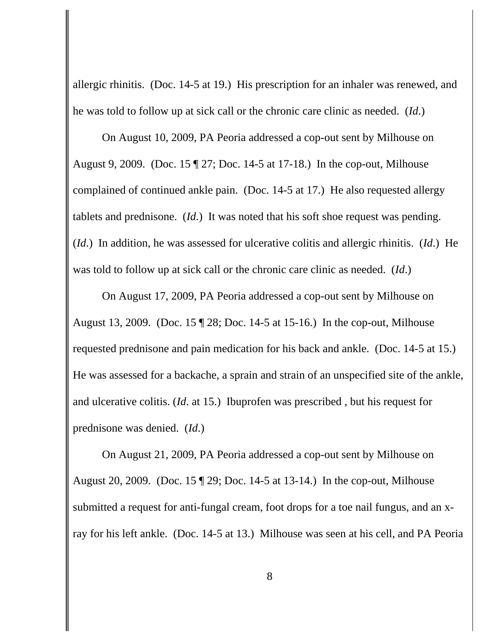allergic rhinitis. (Doc. 14-5 at 19.) His prescription for an inhaler was renewed, and he was told to follow up at sick call or the chronic care clinic as needed. (*Id*.)

On August 10, 2009, PA Peoria addressed a cop-out sent by Milhouse on August 9, 2009. (Doc. 15 ¶ 27; Doc. 14-5 at 17-18.) In the cop-out, Milhouse complained of continued ankle pain. (Doc. 14-5 at 17.) He also requested allergy tablets and prednisone. (*Id*.) It was noted that his soft shoe request was pending. (*Id*.) In addition, he was assessed for ulcerative colitis and allergic rhinitis. (*Id*.) He was told to follow up at sick call or the chronic care clinic as needed. (*Id*.)

On August 17, 2009, PA Peoria addressed a cop-out sent by Milhouse on August 13, 2009. (Doc. 15 ¶ 28; Doc. 14-5 at 15-16.) In the cop-out, Milhouse requested prednisone and pain medication for his back and ankle. (Doc. 14-5 at 15.) He was assessed for a backache, a sprain and strain of an unspecified site of the ankle, and ulcerative colitis. (*Id*. at 15.) Ibuprofen was prescribed , but his request for prednisone was denied. (*Id*.)

On August 21, 2009, PA Peoria addressed a cop-out sent by Milhouse on August 20, 2009. (Doc. 15 ¶ 29; Doc. 14-5 at 13-14.) In the cop-out, Milhouse submitted a request for anti-fungal cream, foot drops for a toe nail fungus, and an xray for his left ankle. (Doc. 14-5 at 13.) Milhouse was seen at his cell, and PA Peoria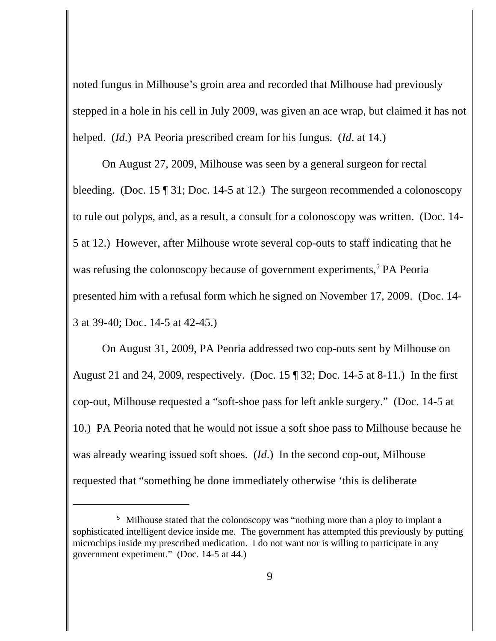noted fungus in Milhouse's groin area and recorded that Milhouse had previously stepped in a hole in his cell in July 2009, was given an ace wrap, but claimed it has not helped. (*Id*.) PA Peoria prescribed cream for his fungus. (*Id*. at 14.)

On August 27, 2009, Milhouse was seen by a general surgeon for rectal bleeding. (Doc. 15 ¶ 31; Doc. 14-5 at 12.) The surgeon recommended a colonoscopy to rule out polyps, and, as a result, a consult for a colonoscopy was written. (Doc. 14- 5 at 12.) However, after Milhouse wrote several cop-outs to staff indicating that he was refusing the colonoscopy because of government experiments,<sup>5</sup> PA Peoria presented him with a refusal form which he signed on November 17, 2009. (Doc. 14- 3 at 39-40; Doc. 14-5 at 42-45.)

On August 31, 2009, PA Peoria addressed two cop-outs sent by Milhouse on August 21 and 24, 2009, respectively. (Doc. 15 ¶ 32; Doc. 14-5 at 8-11.) In the first cop-out, Milhouse requested a "soft-shoe pass for left ankle surgery." (Doc. 14-5 at 10.) PA Peoria noted that he would not issue a soft shoe pass to Milhouse because he was already wearing issued soft shoes. (*Id*.) In the second cop-out, Milhouse requested that "something be done immediately otherwise 'this is deliberate

<sup>&</sup>lt;sup>5</sup> Milhouse stated that the colonoscopy was "nothing more than a ploy to implant a sophisticated intelligent device inside me. The government has attempted this previously by putting microchips inside my prescribed medication. I do not want nor is willing to participate in any government experiment." (Doc. 14-5 at 44.)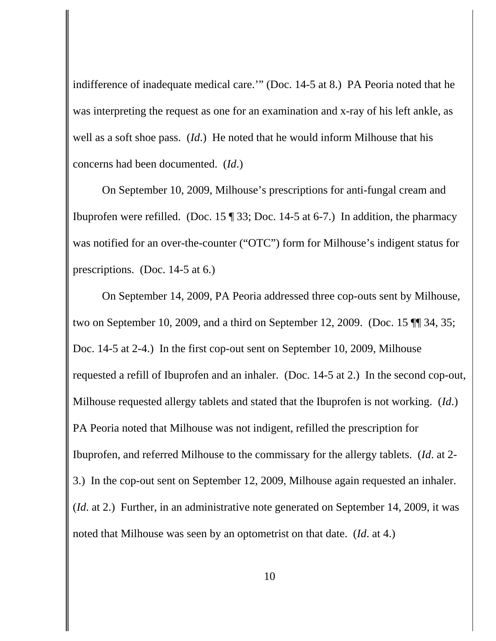indifference of inadequate medical care.'" (Doc. 14-5 at 8.) PA Peoria noted that he was interpreting the request as one for an examination and x-ray of his left ankle, as well as a soft shoe pass. (*Id*.) He noted that he would inform Milhouse that his concerns had been documented. (*Id*.)

On September 10, 2009, Milhouse's prescriptions for anti-fungal cream and Ibuprofen were refilled. (Doc. 15 ¶ 33; Doc. 14-5 at 6-7.) In addition, the pharmacy was notified for an over-the-counter ("OTC") form for Milhouse's indigent status for prescriptions. (Doc. 14-5 at 6.)

On September 14, 2009, PA Peoria addressed three cop-outs sent by Milhouse, two on September 10, 2009, and a third on September 12, 2009. (Doc. 15 ¶¶ 34, 35; Doc. 14-5 at 2-4.) In the first cop-out sent on September 10, 2009, Milhouse requested a refill of Ibuprofen and an inhaler. (Doc. 14-5 at 2.) In the second cop-out, Milhouse requested allergy tablets and stated that the Ibuprofen is not working. (*Id*.) PA Peoria noted that Milhouse was not indigent, refilled the prescription for Ibuprofen, and referred Milhouse to the commissary for the allergy tablets. (*Id*. at 2- 3.) In the cop-out sent on September 12, 2009, Milhouse again requested an inhaler. (*Id*. at 2.) Further, in an administrative note generated on September 14, 2009, it was noted that Milhouse was seen by an optometrist on that date. (*Id*. at 4.)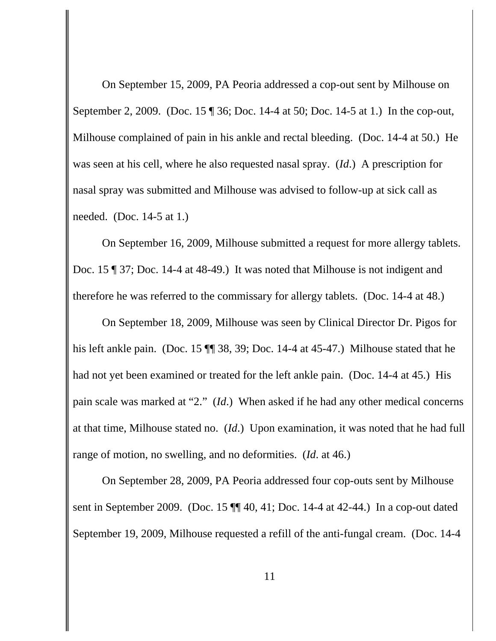On September 15, 2009, PA Peoria addressed a cop-out sent by Milhouse on September 2, 2009. (Doc. 15 ¶ 36; Doc. 14-4 at 50; Doc. 14-5 at 1.) In the cop-out, Milhouse complained of pain in his ankle and rectal bleeding. (Doc. 14-4 at 50.) He was seen at his cell, where he also requested nasal spray. (*Id*.) A prescription for nasal spray was submitted and Milhouse was advised to follow-up at sick call as needed. (Doc. 14-5 at 1.)

On September 16, 2009, Milhouse submitted a request for more allergy tablets. Doc. 15 ¶ 37; Doc. 14-4 at 48-49.) It was noted that Milhouse is not indigent and therefore he was referred to the commissary for allergy tablets. (Doc. 14-4 at 48.)

On September 18, 2009, Milhouse was seen by Clinical Director Dr. Pigos for his left ankle pain. (Doc. 15 ¶¶ 38, 39; Doc. 14-4 at 45-47.) Milhouse stated that he had not yet been examined or treated for the left ankle pain. (Doc. 14-4 at 45.) His pain scale was marked at "2." (*Id*.) When asked if he had any other medical concerns at that time, Milhouse stated no. (*Id*.) Upon examination, it was noted that he had full range of motion, no swelling, and no deformities. (*Id*. at 46.)

On September 28, 2009, PA Peoria addressed four cop-outs sent by Milhouse sent in September 2009. (Doc. 15 ¶¶ 40, 41; Doc. 14-4 at 42-44.) In a cop-out dated September 19, 2009, Milhouse requested a refill of the anti-fungal cream. (Doc. 14-4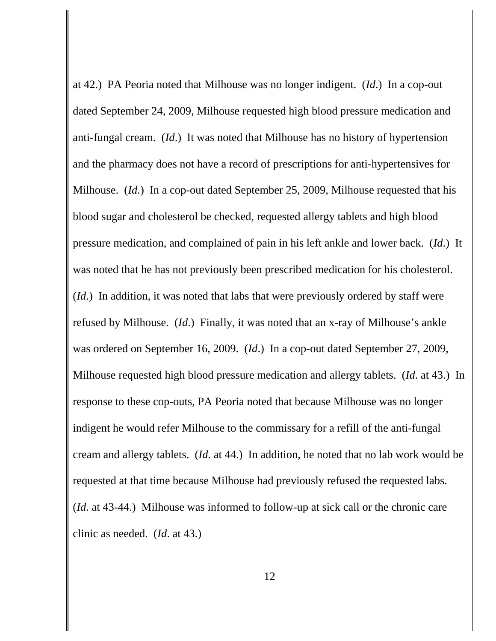at 42.) PA Peoria noted that Milhouse was no longer indigent. (*Id*.) In a cop-out dated September 24, 2009, Milhouse requested high blood pressure medication and anti-fungal cream. (*Id*.) It was noted that Milhouse has no history of hypertension and the pharmacy does not have a record of prescriptions for anti-hypertensives for Milhouse. (*Id*.) In a cop-out dated September 25, 2009, Milhouse requested that his blood sugar and cholesterol be checked, requested allergy tablets and high blood pressure medication, and complained of pain in his left ankle and lower back. (*Id*.) It was noted that he has not previously been prescribed medication for his cholesterol. (*Id*.) In addition, it was noted that labs that were previously ordered by staff were refused by Milhouse. (*Id*.) Finally, it was noted that an x-ray of Milhouse's ankle was ordered on September 16, 2009. (*Id*.) In a cop-out dated September 27, 2009, Milhouse requested high blood pressure medication and allergy tablets. (*Id*. at 43.) In response to these cop-outs, PA Peoria noted that because Milhouse was no longer indigent he would refer Milhouse to the commissary for a refill of the anti-fungal cream and allergy tablets. (*Id*. at 44.) In addition, he noted that no lab work would be requested at that time because Milhouse had previously refused the requested labs. (*Id*. at 43-44.) Milhouse was informed to follow-up at sick call or the chronic care clinic as needed. (*Id*. at 43.)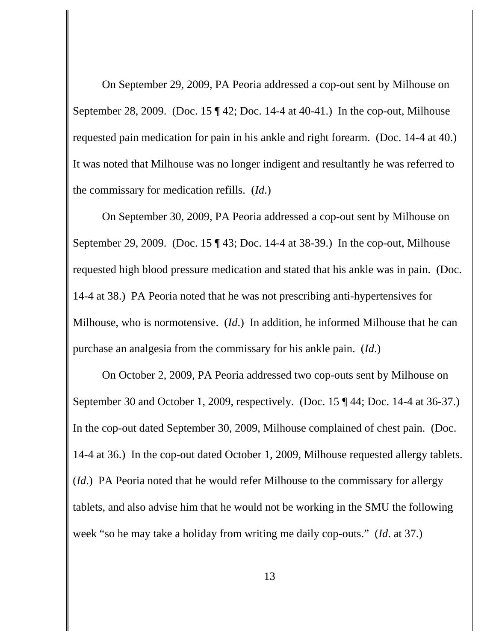On September 29, 2009, PA Peoria addressed a cop-out sent by Milhouse on September 28, 2009. (Doc. 15 ¶ 42; Doc. 14-4 at 40-41.) In the cop-out, Milhouse requested pain medication for pain in his ankle and right forearm. (Doc. 14-4 at 40.) It was noted that Milhouse was no longer indigent and resultantly he was referred to the commissary for medication refills. (*Id*.)

On September 30, 2009, PA Peoria addressed a cop-out sent by Milhouse on September 29, 2009. (Doc. 15 ¶ 43; Doc. 14-4 at 38-39.) In the cop-out, Milhouse requested high blood pressure medication and stated that his ankle was in pain. (Doc. 14-4 at 38.) PA Peoria noted that he was not prescribing anti-hypertensives for Milhouse, who is normotensive. (*Id*.) In addition, he informed Milhouse that he can purchase an analgesia from the commissary for his ankle pain. (*Id*.)

On October 2, 2009, PA Peoria addressed two cop-outs sent by Milhouse on September 30 and October 1, 2009, respectively. (Doc. 15 ¶ 44; Doc. 14-4 at 36-37.) In the cop-out dated September 30, 2009, Milhouse complained of chest pain. (Doc. 14-4 at 36.) In the cop-out dated October 1, 2009, Milhouse requested allergy tablets. (*Id*.) PA Peoria noted that he would refer Milhouse to the commissary for allergy tablets, and also advise him that he would not be working in the SMU the following week "so he may take a holiday from writing me daily cop-outs." (*Id*. at 37.)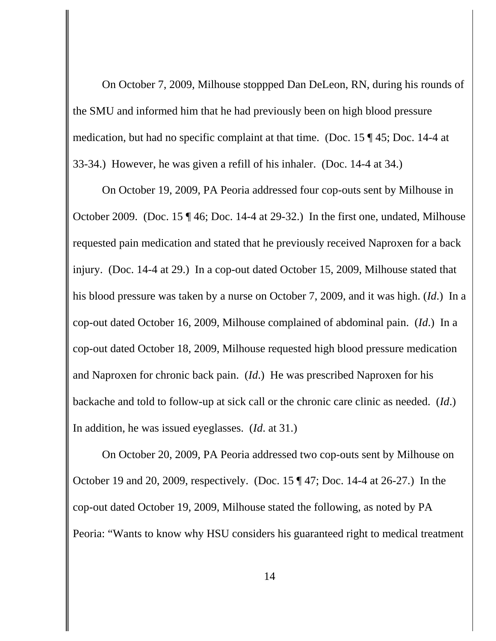On October 7, 2009, Milhouse stoppped Dan DeLeon, RN, during his rounds of the SMU and informed him that he had previously been on high blood pressure medication, but had no specific complaint at that time. (Doc. 15 ¶ 45; Doc. 14-4 at 33-34.) However, he was given a refill of his inhaler. (Doc. 14-4 at 34.)

On October 19, 2009, PA Peoria addressed four cop-outs sent by Milhouse in October 2009. (Doc. 15 ¶ 46; Doc. 14-4 at 29-32.) In the first one, undated, Milhouse requested pain medication and stated that he previously received Naproxen for a back injury. (Doc. 14-4 at 29.) In a cop-out dated October 15, 2009, Milhouse stated that his blood pressure was taken by a nurse on October 7, 2009, and it was high. (*Id*.) In a cop-out dated October 16, 2009, Milhouse complained of abdominal pain. (*Id*.) In a cop-out dated October 18, 2009, Milhouse requested high blood pressure medication and Naproxen for chronic back pain. (*Id*.) He was prescribed Naproxen for his backache and told to follow-up at sick call or the chronic care clinic as needed. (*Id*.) In addition, he was issued eyeglasses. (*Id*. at 31.)

On October 20, 2009, PA Peoria addressed two cop-outs sent by Milhouse on October 19 and 20, 2009, respectively. (Doc. 15 ¶ 47; Doc. 14-4 at 26-27.) In the cop-out dated October 19, 2009, Milhouse stated the following, as noted by PA Peoria: "Wants to know why HSU considers his guaranteed right to medical treatment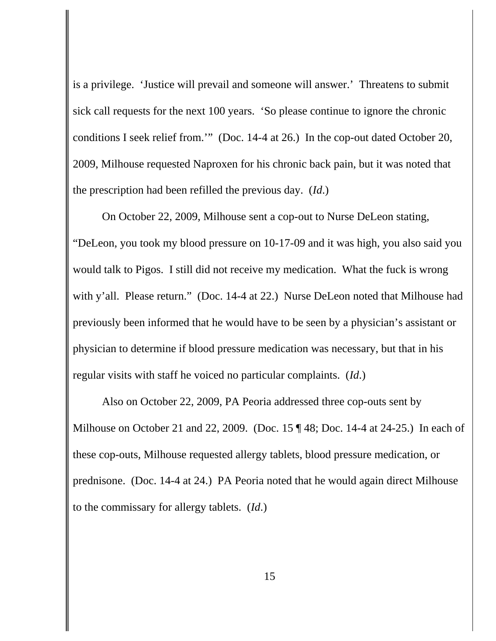is a privilege. 'Justice will prevail and someone will answer.' Threatens to submit sick call requests for the next 100 years. 'So please continue to ignore the chronic conditions I seek relief from.'" (Doc. 14-4 at 26.) In the cop-out dated October 20, 2009, Milhouse requested Naproxen for his chronic back pain, but it was noted that the prescription had been refilled the previous day. (*Id*.)

On October 22, 2009, Milhouse sent a cop-out to Nurse DeLeon stating, "DeLeon, you took my blood pressure on 10-17-09 and it was high, you also said you would talk to Pigos. I still did not receive my medication. What the fuck is wrong with y'all. Please return." (Doc. 14-4 at 22.) Nurse DeLeon noted that Milhouse had previously been informed that he would have to be seen by a physician's assistant or physician to determine if blood pressure medication was necessary, but that in his regular visits with staff he voiced no particular complaints. (*Id*.)

Also on October 22, 2009, PA Peoria addressed three cop-outs sent by Milhouse on October 21 and 22, 2009. (Doc. 15 ¶ 48; Doc. 14-4 at 24-25.) In each of these cop-outs, Milhouse requested allergy tablets, blood pressure medication, or prednisone. (Doc. 14-4 at 24.) PA Peoria noted that he would again direct Milhouse to the commissary for allergy tablets. (*Id*.)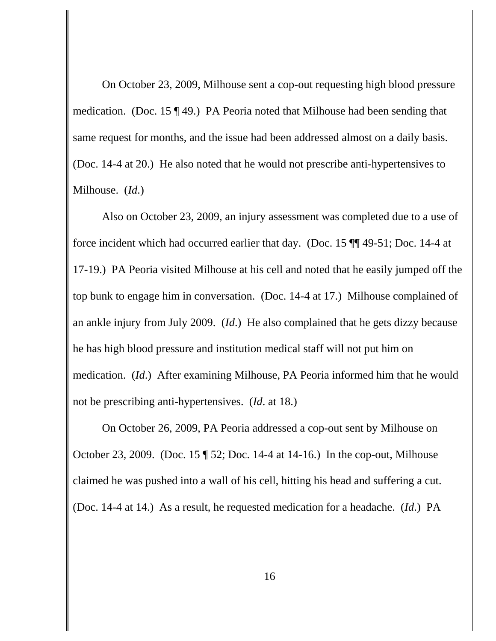On October 23, 2009, Milhouse sent a cop-out requesting high blood pressure medication. (Doc. 15 ¶ 49.) PA Peoria noted that Milhouse had been sending that same request for months, and the issue had been addressed almost on a daily basis. (Doc. 14-4 at 20.) He also noted that he would not prescribe anti-hypertensives to Milhouse. (*Id*.)

Also on October 23, 2009, an injury assessment was completed due to a use of force incident which had occurred earlier that day. (Doc. 15 ¶¶ 49-51; Doc. 14-4 at 17-19.) PA Peoria visited Milhouse at his cell and noted that he easily jumped off the top bunk to engage him in conversation. (Doc. 14-4 at 17.) Milhouse complained of an ankle injury from July 2009. (*Id*.) He also complained that he gets dizzy because he has high blood pressure and institution medical staff will not put him on medication. (*Id*.) After examining Milhouse, PA Peoria informed him that he would not be prescribing anti-hypertensives. (*Id*. at 18.)

On October 26, 2009, PA Peoria addressed a cop-out sent by Milhouse on October 23, 2009. (Doc. 15 ¶ 52; Doc. 14-4 at 14-16.) In the cop-out, Milhouse claimed he was pushed into a wall of his cell, hitting his head and suffering a cut. (Doc. 14-4 at 14.) As a result, he requested medication for a headache. (*Id*.) PA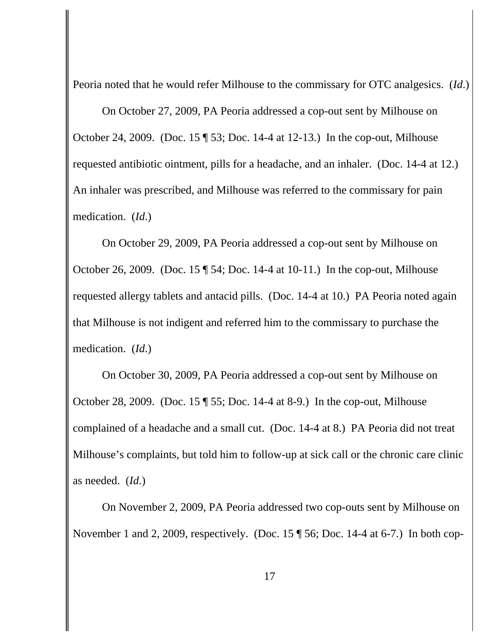Peoria noted that he would refer Milhouse to the commissary for OTC analgesics. (*Id*.)

On October 27, 2009, PA Peoria addressed a cop-out sent by Milhouse on October 24, 2009. (Doc. 15 ¶ 53; Doc. 14-4 at 12-13.) In the cop-out, Milhouse requested antibiotic ointment, pills for a headache, and an inhaler. (Doc. 14-4 at 12.) An inhaler was prescribed, and Milhouse was referred to the commissary for pain medication. (*Id*.)

On October 29, 2009, PA Peoria addressed a cop-out sent by Milhouse on October 26, 2009. (Doc. 15 ¶ 54; Doc. 14-4 at 10-11.) In the cop-out, Milhouse requested allergy tablets and antacid pills. (Doc. 14-4 at 10.) PA Peoria noted again that Milhouse is not indigent and referred him to the commissary to purchase the medication. (*Id*.)

On October 30, 2009, PA Peoria addressed a cop-out sent by Milhouse on October 28, 2009. (Doc. 15 ¶ 55; Doc. 14-4 at 8-9.) In the cop-out, Milhouse complained of a headache and a small cut. (Doc. 14-4 at 8.) PA Peoria did not treat Milhouse's complaints, but told him to follow-up at sick call or the chronic care clinic as needed. (*Id*.)

On November 2, 2009, PA Peoria addressed two cop-outs sent by Milhouse on November 1 and 2, 2009, respectively. (Doc. 15 ¶ 56; Doc. 14-4 at 6-7.) In both cop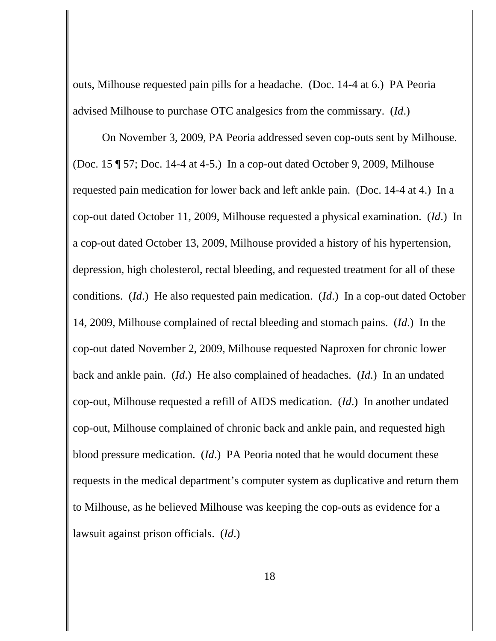outs, Milhouse requested pain pills for a headache. (Doc. 14-4 at 6.) PA Peoria advised Milhouse to purchase OTC analgesics from the commissary. (*Id*.)

On November 3, 2009, PA Peoria addressed seven cop-outs sent by Milhouse. (Doc. 15 ¶ 57; Doc. 14-4 at 4-5.) In a cop-out dated October 9, 2009, Milhouse requested pain medication for lower back and left ankle pain. (Doc. 14-4 at 4.) In a cop-out dated October 11, 2009, Milhouse requested a physical examination. (*Id*.) In a cop-out dated October 13, 2009, Milhouse provided a history of his hypertension, depression, high cholesterol, rectal bleeding, and requested treatment for all of these conditions. (*Id*.) He also requested pain medication. (*Id*.) In a cop-out dated October 14, 2009, Milhouse complained of rectal bleeding and stomach pains. (*Id*.) In the cop-out dated November 2, 2009, Milhouse requested Naproxen for chronic lower back and ankle pain. (*Id*.) He also complained of headaches. (*Id*.) In an undated cop-out, Milhouse requested a refill of AIDS medication. (*Id*.) In another undated cop-out, Milhouse complained of chronic back and ankle pain, and requested high blood pressure medication. (*Id*.) PA Peoria noted that he would document these requests in the medical department's computer system as duplicative and return them to Milhouse, as he believed Milhouse was keeping the cop-outs as evidence for a lawsuit against prison officials. (*Id*.)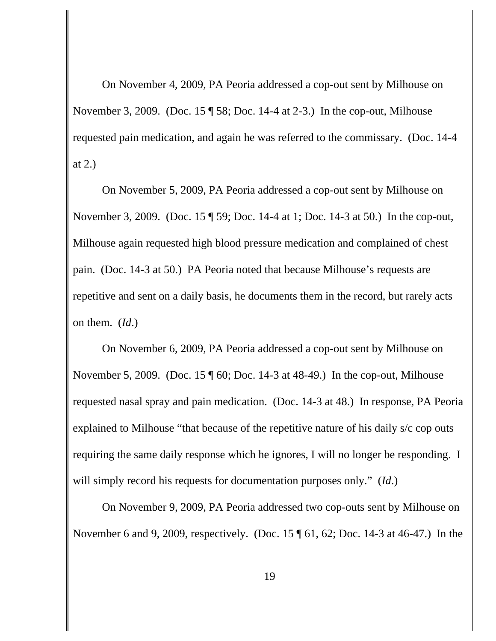On November 4, 2009, PA Peoria addressed a cop-out sent by Milhouse on November 3, 2009. (Doc. 15 ¶ 58; Doc. 14-4 at 2-3.) In the cop-out, Milhouse requested pain medication, and again he was referred to the commissary. (Doc. 14-4 at 2.)

On November 5, 2009, PA Peoria addressed a cop-out sent by Milhouse on November 3, 2009. (Doc. 15 ¶ 59; Doc. 14-4 at 1; Doc. 14-3 at 50.) In the cop-out, Milhouse again requested high blood pressure medication and complained of chest pain. (Doc. 14-3 at 50.) PA Peoria noted that because Milhouse's requests are repetitive and sent on a daily basis, he documents them in the record, but rarely acts on them. (*Id*.)

On November 6, 2009, PA Peoria addressed a cop-out sent by Milhouse on November 5, 2009. (Doc. 15 ¶ 60; Doc. 14-3 at 48-49.) In the cop-out, Milhouse requested nasal spray and pain medication. (Doc. 14-3 at 48.) In response, PA Peoria explained to Milhouse "that because of the repetitive nature of his daily s/c cop outs requiring the same daily response which he ignores, I will no longer be responding. I will simply record his requests for documentation purposes only." (*Id*.)

On November 9, 2009, PA Peoria addressed two cop-outs sent by Milhouse on November 6 and 9, 2009, respectively. (Doc. 15 ¶ 61, 62; Doc. 14-3 at 46-47.) In the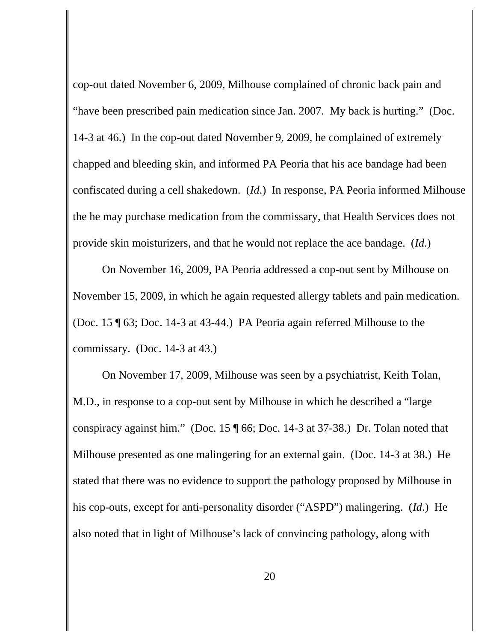cop-out dated November 6, 2009, Milhouse complained of chronic back pain and "have been prescribed pain medication since Jan. 2007. My back is hurting." (Doc. 14-3 at 46.) In the cop-out dated November 9, 2009, he complained of extremely chapped and bleeding skin, and informed PA Peoria that his ace bandage had been confiscated during a cell shakedown. (*Id*.) In response, PA Peoria informed Milhouse the he may purchase medication from the commissary, that Health Services does not provide skin moisturizers, and that he would not replace the ace bandage. (*Id*.)

On November 16, 2009, PA Peoria addressed a cop-out sent by Milhouse on November 15, 2009, in which he again requested allergy tablets and pain medication. (Doc. 15 ¶ 63; Doc. 14-3 at 43-44.) PA Peoria again referred Milhouse to the commissary. (Doc. 14-3 at 43.)

On November 17, 2009, Milhouse was seen by a psychiatrist, Keith Tolan, M.D., in response to a cop-out sent by Milhouse in which he described a "large conspiracy against him." (Doc. 15 ¶ 66; Doc. 14-3 at 37-38.) Dr. Tolan noted that Milhouse presented as one malingering for an external gain. (Doc. 14-3 at 38.) He stated that there was no evidence to support the pathology proposed by Milhouse in his cop-outs, except for anti-personality disorder ("ASPD") malingering. (*Id*.) He also noted that in light of Milhouse's lack of convincing pathology, along with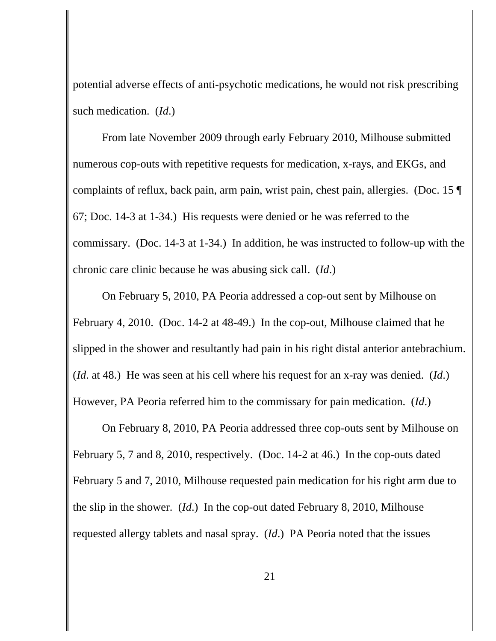potential adverse effects of anti-psychotic medications, he would not risk prescribing such medication. (*Id*.)

From late November 2009 through early February 2010, Milhouse submitted numerous cop-outs with repetitive requests for medication, x-rays, and EKGs, and complaints of reflux, back pain, arm pain, wrist pain, chest pain, allergies. (Doc. 15 ¶ 67; Doc. 14-3 at 1-34.) His requests were denied or he was referred to the commissary. (Doc. 14-3 at 1-34.) In addition, he was instructed to follow-up with the chronic care clinic because he was abusing sick call. (*Id*.)

On February 5, 2010, PA Peoria addressed a cop-out sent by Milhouse on February 4, 2010. (Doc. 14-2 at 48-49.) In the cop-out, Milhouse claimed that he slipped in the shower and resultantly had pain in his right distal anterior antebrachium. (*Id*. at 48.) He was seen at his cell where his request for an x-ray was denied. (*Id*.) However, PA Peoria referred him to the commissary for pain medication. (*Id*.)

On February 8, 2010, PA Peoria addressed three cop-outs sent by Milhouse on February 5, 7 and 8, 2010, respectively. (Doc. 14-2 at 46.) In the cop-outs dated February 5 and 7, 2010, Milhouse requested pain medication for his right arm due to the slip in the shower. (*Id*.) In the cop-out dated February 8, 2010, Milhouse requested allergy tablets and nasal spray. (*Id*.) PA Peoria noted that the issues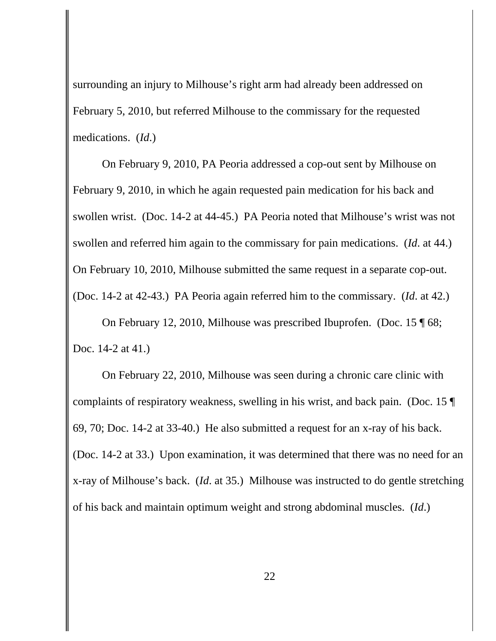surrounding an injury to Milhouse's right arm had already been addressed on February 5, 2010, but referred Milhouse to the commissary for the requested medications. (*Id*.)

On February 9, 2010, PA Peoria addressed a cop-out sent by Milhouse on February 9, 2010, in which he again requested pain medication for his back and swollen wrist. (Doc. 14-2 at 44-45.) PA Peoria noted that Milhouse's wrist was not swollen and referred him again to the commissary for pain medications. (*Id*. at 44.) On February 10, 2010, Milhouse submitted the same request in a separate cop-out. (Doc. 14-2 at 42-43.) PA Peoria again referred him to the commissary. (*Id*. at 42.)

On February 12, 2010, Milhouse was prescribed Ibuprofen. (Doc. 15 ¶ 68; Doc. 14-2 at 41.)

On February 22, 2010, Milhouse was seen during a chronic care clinic with complaints of respiratory weakness, swelling in his wrist, and back pain. (Doc. 15 ¶ 69, 70; Doc. 14-2 at 33-40.) He also submitted a request for an x-ray of his back. (Doc. 14-2 at 33.) Upon examination, it was determined that there was no need for an x-ray of Milhouse's back. (*Id*. at 35.) Milhouse was instructed to do gentle stretching of his back and maintain optimum weight and strong abdominal muscles. (*Id*.)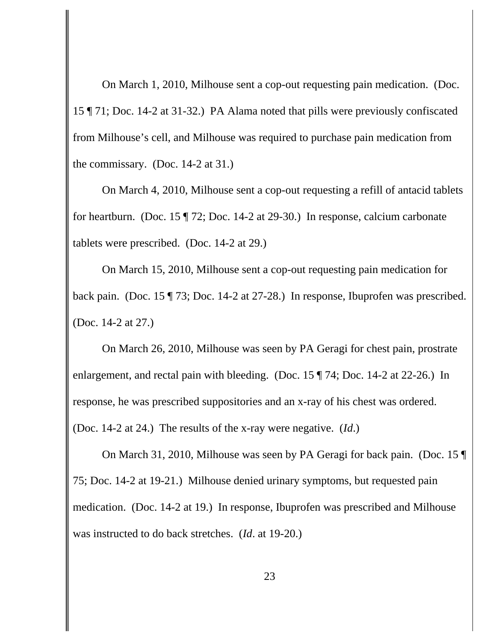On March 1, 2010, Milhouse sent a cop-out requesting pain medication. (Doc. 15 ¶ 71; Doc. 14-2 at 31-32.) PA Alama noted that pills were previously confiscated from Milhouse's cell, and Milhouse was required to purchase pain medication from the commissary. (Doc. 14-2 at 31.)

On March 4, 2010, Milhouse sent a cop-out requesting a refill of antacid tablets for heartburn. (Doc. 15 ¶ 72; Doc. 14-2 at 29-30.) In response, calcium carbonate tablets were prescribed. (Doc. 14-2 at 29.)

On March 15, 2010, Milhouse sent a cop-out requesting pain medication for back pain. (Doc. 15 ¶ 73; Doc. 14-2 at 27-28.) In response, Ibuprofen was prescribed. (Doc. 14-2 at 27.)

On March 26, 2010, Milhouse was seen by PA Geragi for chest pain, prostrate enlargement, and rectal pain with bleeding. (Doc. 15 ¶ 74; Doc. 14-2 at 22-26.) In response, he was prescribed suppositories and an x-ray of his chest was ordered. (Doc. 14-2 at 24.) The results of the x-ray were negative. (*Id*.)

On March 31, 2010, Milhouse was seen by PA Geragi for back pain. (Doc. 15 ¶ 75; Doc. 14-2 at 19-21.) Milhouse denied urinary symptoms, but requested pain medication. (Doc. 14-2 at 19.) In response, Ibuprofen was prescribed and Milhouse was instructed to do back stretches. (*Id*. at 19-20.)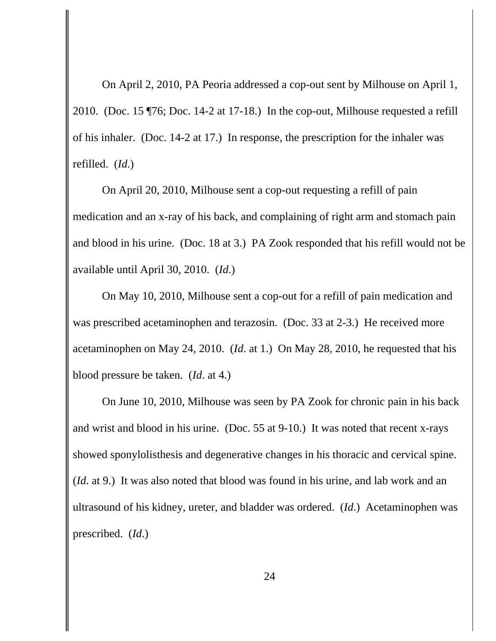On April 2, 2010, PA Peoria addressed a cop-out sent by Milhouse on April 1, 2010. (Doc. 15 ¶76; Doc. 14-2 at 17-18.) In the cop-out, Milhouse requested a refill of his inhaler. (Doc. 14-2 at 17.) In response, the prescription for the inhaler was refilled. (*Id*.)

On April 20, 2010, Milhouse sent a cop-out requesting a refill of pain medication and an x-ray of his back, and complaining of right arm and stomach pain and blood in his urine. (Doc. 18 at 3.) PA Zook responded that his refill would not be available until April 30, 2010. (*Id*.)

On May 10, 2010, Milhouse sent a cop-out for a refill of pain medication and was prescribed acetaminophen and terazosin. (Doc. 33 at 2-3.) He received more acetaminophen on May 24, 2010. (*Id*. at 1.) On May 28, 2010, he requested that his blood pressure be taken. (*Id*. at 4.)

On June 10, 2010, Milhouse was seen by PA Zook for chronic pain in his back and wrist and blood in his urine. (Doc. 55 at 9-10.) It was noted that recent x-rays showed sponylolisthesis and degenerative changes in his thoracic and cervical spine. (*Id*. at 9.) It was also noted that blood was found in his urine, and lab work and an ultrasound of his kidney, ureter, and bladder was ordered. (*Id*.) Acetaminophen was prescribed. (*Id*.)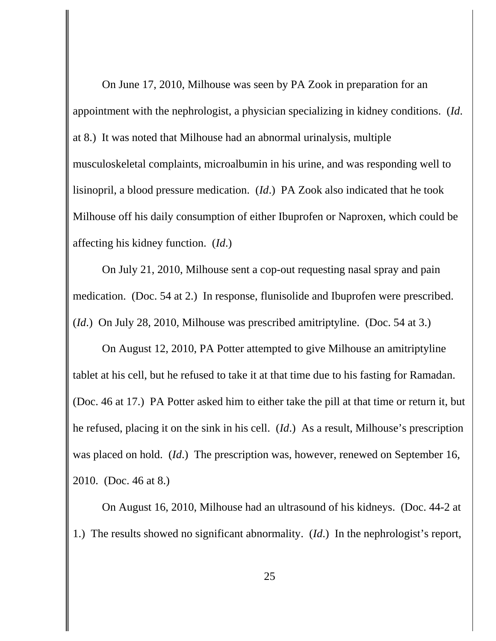On June 17, 2010, Milhouse was seen by PA Zook in preparation for an appointment with the nephrologist, a physician specializing in kidney conditions. (*Id*. at 8.) It was noted that Milhouse had an abnormal urinalysis, multiple musculoskeletal complaints, microalbumin in his urine, and was responding well to lisinopril, a blood pressure medication. (*Id*.) PA Zook also indicated that he took Milhouse off his daily consumption of either Ibuprofen or Naproxen, which could be affecting his kidney function. (*Id*.)

On July 21, 2010, Milhouse sent a cop-out requesting nasal spray and pain medication. (Doc. 54 at 2.) In response, flunisolide and Ibuprofen were prescribed. (*Id*.) On July 28, 2010, Milhouse was prescribed amitriptyline. (Doc. 54 at 3.)

On August 12, 2010, PA Potter attempted to give Milhouse an amitriptyline tablet at his cell, but he refused to take it at that time due to his fasting for Ramadan. (Doc. 46 at 17.) PA Potter asked him to either take the pill at that time or return it, but he refused, placing it on the sink in his cell. (*Id*.) As a result, Milhouse's prescription was placed on hold. (*Id*.) The prescription was, however, renewed on September 16, 2010. (Doc. 46 at 8.)

On August 16, 2010, Milhouse had an ultrasound of his kidneys. (Doc. 44-2 at 1.) The results showed no significant abnormality. (*Id*.) In the nephrologist's report,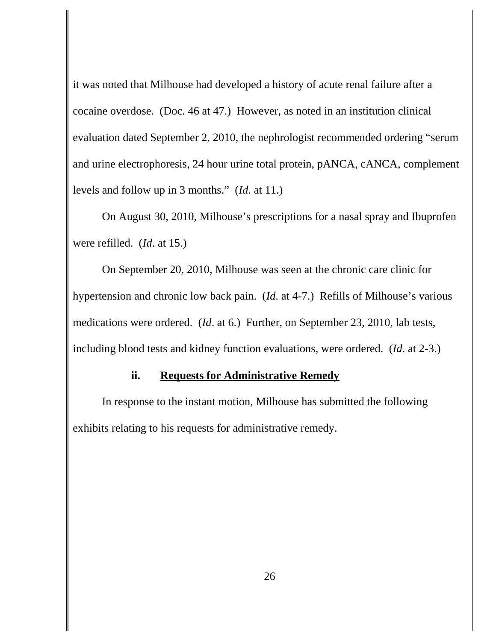it was noted that Milhouse had developed a history of acute renal failure after a cocaine overdose. (Doc. 46 at 47.) However, as noted in an institution clinical evaluation dated September 2, 2010, the nephrologist recommended ordering "serum and urine electrophoresis, 24 hour urine total protein, pANCA, cANCA, complement levels and follow up in 3 months." (*Id*. at 11.)

On August 30, 2010, Milhouse's prescriptions for a nasal spray and Ibuprofen were refilled. (*Id*. at 15.)

On September 20, 2010, Milhouse was seen at the chronic care clinic for hypertension and chronic low back pain. (*Id*. at 4-7.) Refills of Milhouse's various medications were ordered. (*Id*. at 6.) Further, on September 23, 2010, lab tests, including blood tests and kidney function evaluations, were ordered. (*Id*. at 2-3.)

#### **ii. Requests for Administrative Remedy**

In response to the instant motion, Milhouse has submitted the following exhibits relating to his requests for administrative remedy.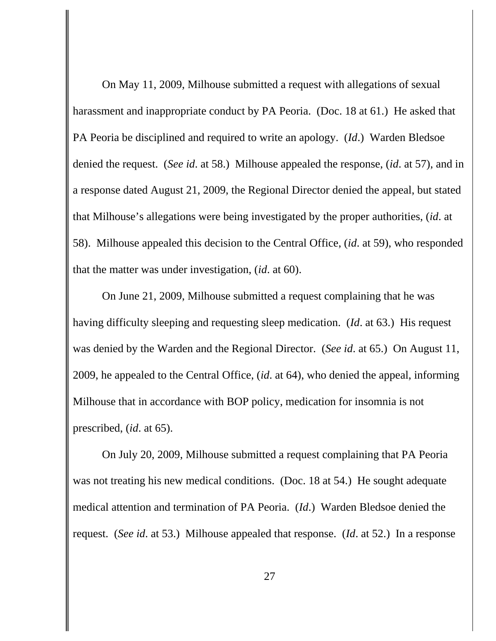On May 11, 2009, Milhouse submitted a request with allegations of sexual harassment and inappropriate conduct by PA Peoria. (Doc. 18 at 61.) He asked that PA Peoria be disciplined and required to write an apology. (*Id*.) Warden Bledsoe denied the request. (*See id*. at 58.) Milhouse appealed the response, (*id*. at 57), and in a response dated August 21, 2009, the Regional Director denied the appeal, but stated that Milhouse's allegations were being investigated by the proper authorities, (*id*. at 58). Milhouse appealed this decision to the Central Office, (*id*. at 59), who responded that the matter was under investigation, (*id*. at 60).

On June 21, 2009, Milhouse submitted a request complaining that he was having difficulty sleeping and requesting sleep medication. (*Id*. at 63.) His request was denied by the Warden and the Regional Director. (*See id*. at 65.) On August 11, 2009, he appealed to the Central Office, (*id*. at 64), who denied the appeal, informing Milhouse that in accordance with BOP policy, medication for insomnia is not prescribed, (*id*. at 65).

On July 20, 2009, Milhouse submitted a request complaining that PA Peoria was not treating his new medical conditions. (Doc. 18 at 54.) He sought adequate medical attention and termination of PA Peoria. (*Id*.) Warden Bledsoe denied the request. (*See id*. at 53.) Milhouse appealed that response. (*Id*. at 52.) In a response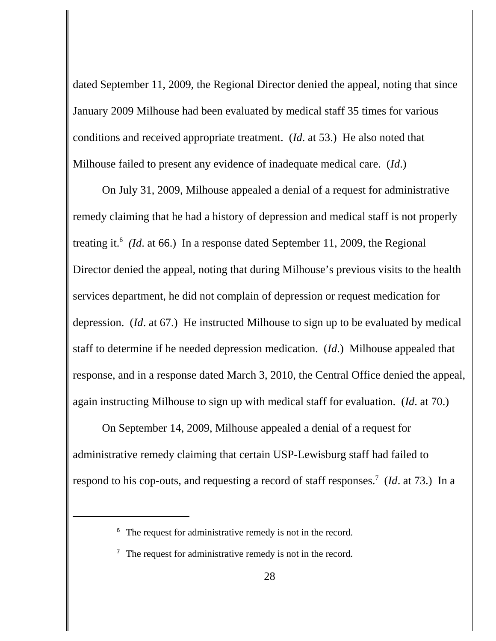dated September 11, 2009, the Regional Director denied the appeal, noting that since January 2009 Milhouse had been evaluated by medical staff 35 times for various conditions and received appropriate treatment. (*Id*. at 53.) He also noted that Milhouse failed to present any evidence of inadequate medical care. (*Id*.)

On July 31, 2009, Milhouse appealed a denial of a request for administrative remedy claiming that he had a history of depression and medical staff is not properly treating it.<sup>6</sup> (*Id.* at 66.) In a response dated September 11, 2009, the Regional Director denied the appeal, noting that during Milhouse's previous visits to the health services department, he did not complain of depression or request medication for depression. (*Id*. at 67.) He instructed Milhouse to sign up to be evaluated by medical staff to determine if he needed depression medication. (*Id*.) Milhouse appealed that response, and in a response dated March 3, 2010, the Central Office denied the appeal, again instructing Milhouse to sign up with medical staff for evaluation. (*Id*. at 70.)

On September 14, 2009, Milhouse appealed a denial of a request for administrative remedy claiming that certain USP-Lewisburg staff had failed to respond to his cop-outs, and requesting a record of staff responses.<sup>7</sup> (*Id.* at 73.) In a

<sup>&</sup>lt;sup>6</sup> The request for administrative remedy is not in the record.

 $\frac{7}{7}$  The request for administrative remedy is not in the record.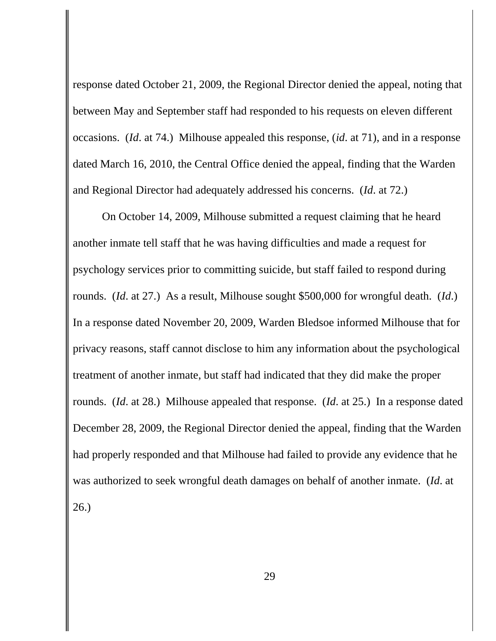response dated October 21, 2009, the Regional Director denied the appeal, noting that between May and September staff had responded to his requests on eleven different occasions. (*Id*. at 74.) Milhouse appealed this response, (*id*. at 71), and in a response dated March 16, 2010, the Central Office denied the appeal, finding that the Warden and Regional Director had adequately addressed his concerns. (*Id*. at 72.)

On October 14, 2009, Milhouse submitted a request claiming that he heard another inmate tell staff that he was having difficulties and made a request for psychology services prior to committing suicide, but staff failed to respond during rounds. (*Id*. at 27.) As a result, Milhouse sought \$500,000 for wrongful death. (*Id*.) In a response dated November 20, 2009, Warden Bledsoe informed Milhouse that for privacy reasons, staff cannot disclose to him any information about the psychological treatment of another inmate, but staff had indicated that they did make the proper rounds. (*Id*. at 28.) Milhouse appealed that response. (*Id*. at 25.) In a response dated December 28, 2009, the Regional Director denied the appeal, finding that the Warden had properly responded and that Milhouse had failed to provide any evidence that he was authorized to seek wrongful death damages on behalf of another inmate. (*Id*. at 26.)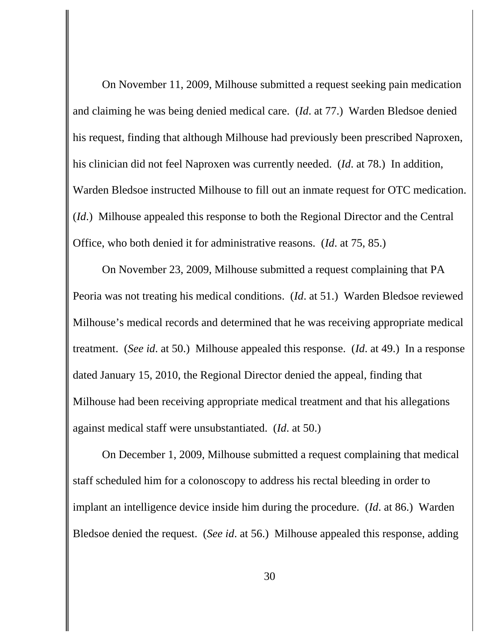On November 11, 2009, Milhouse submitted a request seeking pain medication and claiming he was being denied medical care. (*Id*. at 77.) Warden Bledsoe denied his request, finding that although Milhouse had previously been prescribed Naproxen, his clinician did not feel Naproxen was currently needed. (*Id*. at 78.) In addition, Warden Bledsoe instructed Milhouse to fill out an inmate request for OTC medication. (*Id*.) Milhouse appealed this response to both the Regional Director and the Central Office, who both denied it for administrative reasons. (*Id*. at 75, 85.)

On November 23, 2009, Milhouse submitted a request complaining that PA Peoria was not treating his medical conditions. (*Id*. at 51.) Warden Bledsoe reviewed Milhouse's medical records and determined that he was receiving appropriate medical treatment. (*See id*. at 50.) Milhouse appealed this response. (*Id*. at 49.) In a response dated January 15, 2010, the Regional Director denied the appeal, finding that Milhouse had been receiving appropriate medical treatment and that his allegations against medical staff were unsubstantiated. (*Id*. at 50.)

On December 1, 2009, Milhouse submitted a request complaining that medical staff scheduled him for a colonoscopy to address his rectal bleeding in order to implant an intelligence device inside him during the procedure. (*Id*. at 86.) Warden Bledsoe denied the request. (*See id*. at 56.) Milhouse appealed this response, adding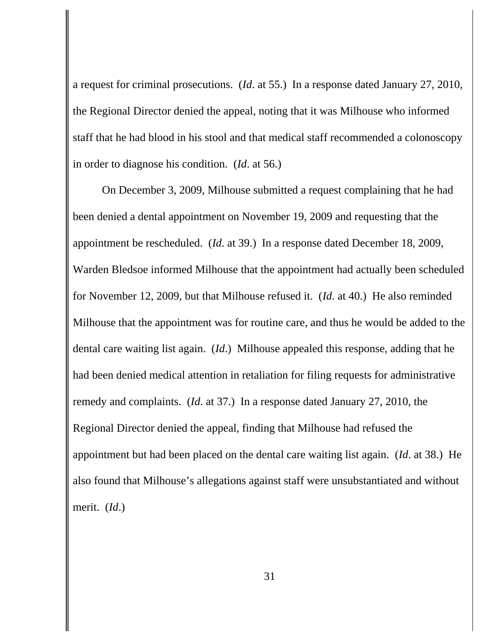a request for criminal prosecutions. (*Id*. at 55.) In a response dated January 27, 2010, the Regional Director denied the appeal, noting that it was Milhouse who informed staff that he had blood in his stool and that medical staff recommended a colonoscopy in order to diagnose his condition. (*Id*. at 56.)

On December 3, 2009, Milhouse submitted a request complaining that he had been denied a dental appointment on November 19, 2009 and requesting that the appointment be rescheduled. (*Id*. at 39.) In a response dated December 18, 2009, Warden Bledsoe informed Milhouse that the appointment had actually been scheduled for November 12, 2009, but that Milhouse refused it. (*Id*. at 40.) He also reminded Milhouse that the appointment was for routine care, and thus he would be added to the dental care waiting list again. (*Id*.) Milhouse appealed this response, adding that he had been denied medical attention in retaliation for filing requests for administrative remedy and complaints. (*Id*. at 37.) In a response dated January 27, 2010, the Regional Director denied the appeal, finding that Milhouse had refused the appointment but had been placed on the dental care waiting list again. (*Id*. at 38.) He also found that Milhouse's allegations against staff were unsubstantiated and without merit. (*Id*.)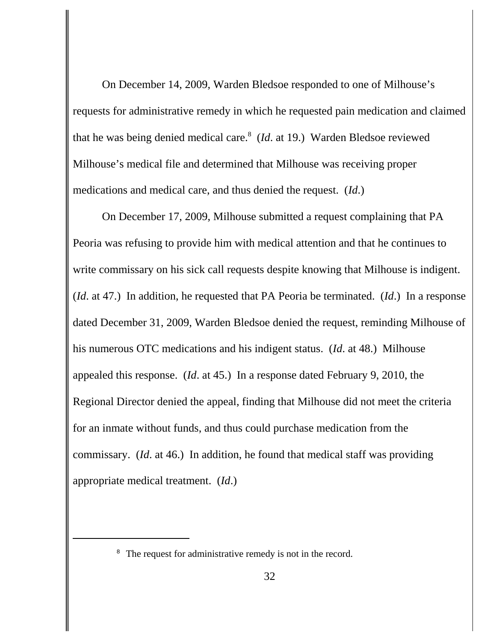On December 14, 2009, Warden Bledsoe responded to one of Milhouse's requests for administrative remedy in which he requested pain medication and claimed that he was being denied medical care.8 (*Id*. at 19.) Warden Bledsoe reviewed Milhouse's medical file and determined that Milhouse was receiving proper medications and medical care, and thus denied the request. (*Id*.)

On December 17, 2009, Milhouse submitted a request complaining that PA Peoria was refusing to provide him with medical attention and that he continues to write commissary on his sick call requests despite knowing that Milhouse is indigent. (*Id*. at 47.) In addition, he requested that PA Peoria be terminated. (*Id*.) In a response dated December 31, 2009, Warden Bledsoe denied the request, reminding Milhouse of his numerous OTC medications and his indigent status. (*Id*. at 48.) Milhouse appealed this response. (*Id*. at 45.) In a response dated February 9, 2010, the Regional Director denied the appeal, finding that Milhouse did not meet the criteria for an inmate without funds, and thus could purchase medication from the commissary. (*Id*. at 46.) In addition, he found that medical staff was providing appropriate medical treatment. (*Id*.)

<sup>&</sup>lt;sup>8</sup> The request for administrative remedy is not in the record.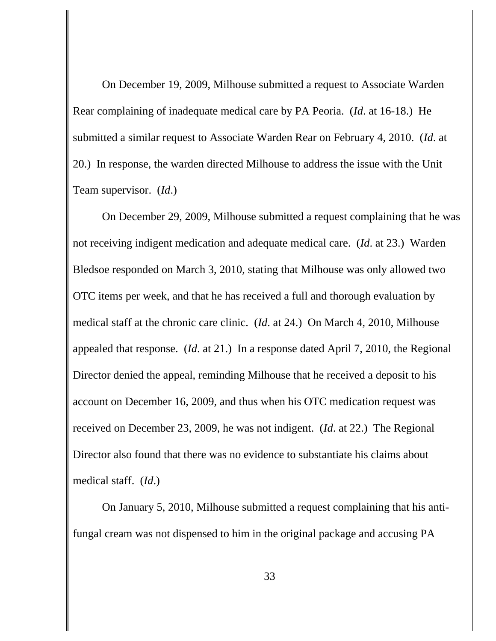On December 19, 2009, Milhouse submitted a request to Associate Warden Rear complaining of inadequate medical care by PA Peoria. (*Id*. at 16-18.) He submitted a similar request to Associate Warden Rear on February 4, 2010. (*Id*. at 20.) In response, the warden directed Milhouse to address the issue with the Unit Team supervisor. (*Id*.)

On December 29, 2009, Milhouse submitted a request complaining that he was not receiving indigent medication and adequate medical care. (*Id*. at 23.) Warden Bledsoe responded on March 3, 2010, stating that Milhouse was only allowed two OTC items per week, and that he has received a full and thorough evaluation by medical staff at the chronic care clinic. (*Id*. at 24.) On March 4, 2010, Milhouse appealed that response. (*Id*. at 21.) In a response dated April 7, 2010, the Regional Director denied the appeal, reminding Milhouse that he received a deposit to his account on December 16, 2009, and thus when his OTC medication request was received on December 23, 2009, he was not indigent. (*Id*. at 22.) The Regional Director also found that there was no evidence to substantiate his claims about medical staff. (*Id*.)

On January 5, 2010, Milhouse submitted a request complaining that his antifungal cream was not dispensed to him in the original package and accusing PA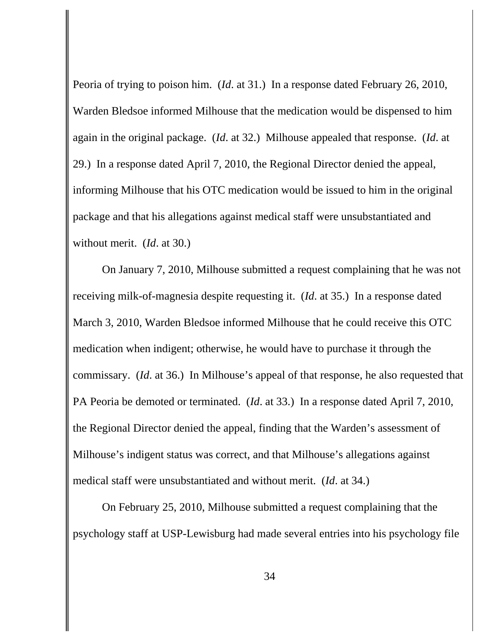Peoria of trying to poison him. (*Id*. at 31.) In a response dated February 26, 2010, Warden Bledsoe informed Milhouse that the medication would be dispensed to him again in the original package. (*Id*. at 32.) Milhouse appealed that response. (*Id*. at 29.) In a response dated April 7, 2010, the Regional Director denied the appeal, informing Milhouse that his OTC medication would be issued to him in the original package and that his allegations against medical staff were unsubstantiated and without merit. (*Id*. at 30.)

On January 7, 2010, Milhouse submitted a request complaining that he was not receiving milk-of-magnesia despite requesting it. (*Id*. at 35.) In a response dated March 3, 2010, Warden Bledsoe informed Milhouse that he could receive this OTC medication when indigent; otherwise, he would have to purchase it through the commissary. (*Id*. at 36.) In Milhouse's appeal of that response, he also requested that PA Peoria be demoted or terminated. (*Id*. at 33.) In a response dated April 7, 2010, the Regional Director denied the appeal, finding that the Warden's assessment of Milhouse's indigent status was correct, and that Milhouse's allegations against medical staff were unsubstantiated and without merit. (*Id*. at 34.)

On February 25, 2010, Milhouse submitted a request complaining that the psychology staff at USP-Lewisburg had made several entries into his psychology file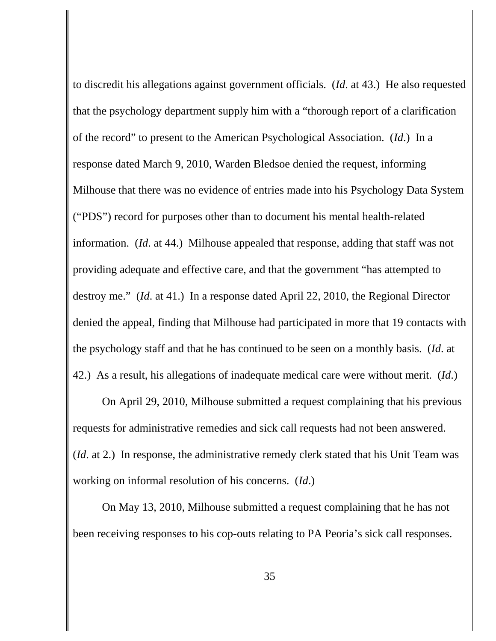to discredit his allegations against government officials. (*Id*. at 43.) He also requested that the psychology department supply him with a "thorough report of a clarification of the record" to present to the American Psychological Association. (*Id*.) In a response dated March 9, 2010, Warden Bledsoe denied the request, informing Milhouse that there was no evidence of entries made into his Psychology Data System ("PDS") record for purposes other than to document his mental health-related information. (*Id*. at 44.) Milhouse appealed that response, adding that staff was not providing adequate and effective care, and that the government "has attempted to destroy me." (*Id*. at 41.) In a response dated April 22, 2010, the Regional Director denied the appeal, finding that Milhouse had participated in more that 19 contacts with the psychology staff and that he has continued to be seen on a monthly basis. (*Id*. at 42.) As a result, his allegations of inadequate medical care were without merit. (*Id*.)

On April 29, 2010, Milhouse submitted a request complaining that his previous requests for administrative remedies and sick call requests had not been answered. (*Id*. at 2.) In response, the administrative remedy clerk stated that his Unit Team was working on informal resolution of his concerns. (*Id*.)

On May 13, 2010, Milhouse submitted a request complaining that he has not been receiving responses to his cop-outs relating to PA Peoria's sick call responses.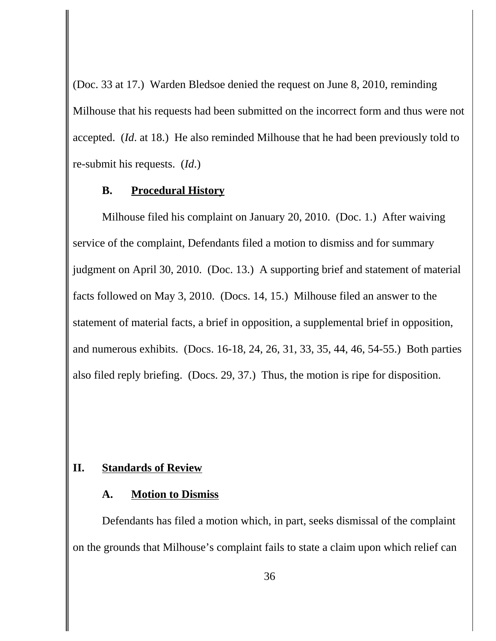(Doc. 33 at 17.) Warden Bledsoe denied the request on June 8, 2010, reminding Milhouse that his requests had been submitted on the incorrect form and thus were not accepted. (*Id*. at 18.) He also reminded Milhouse that he had been previously told to re-submit his requests. (*Id*.)

#### **B. Procedural History**

Milhouse filed his complaint on January 20, 2010. (Doc. 1.) After waiving service of the complaint, Defendants filed a motion to dismiss and for summary judgment on April 30, 2010. (Doc. 13.) A supporting brief and statement of material facts followed on May 3, 2010. (Docs. 14, 15.) Milhouse filed an answer to the statement of material facts, a brief in opposition, a supplemental brief in opposition, and numerous exhibits. (Docs. 16-18, 24, 26, 31, 33, 35, 44, 46, 54-55.) Both parties also filed reply briefing. (Docs. 29, 37.) Thus, the motion is ripe for disposition.

### **II. Standards of Review**

#### **A. Motion to Dismiss**

Defendants has filed a motion which, in part, seeks dismissal of the complaint on the grounds that Milhouse's complaint fails to state a claim upon which relief can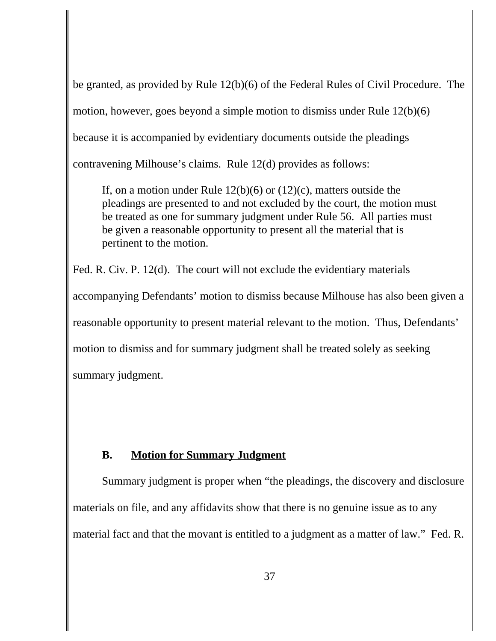be granted, as provided by Rule 12(b)(6) of the Federal Rules of Civil Procedure. The motion, however, goes beyond a simple motion to dismiss under Rule 12(b)(6) because it is accompanied by evidentiary documents outside the pleadings contravening Milhouse's claims. Rule 12(d) provides as follows:

If, on a motion under Rule 12(b)(6) or (12)(c), matters outside the pleadings are presented to and not excluded by the court, the motion must be treated as one for summary judgment under Rule 56. All parties must be given a reasonable opportunity to present all the material that is pertinent to the motion.

Fed. R. Civ. P. 12(d). The court will not exclude the evidentiary materials accompanying Defendants' motion to dismiss because Milhouse has also been given a reasonable opportunity to present material relevant to the motion. Thus, Defendants' motion to dismiss and for summary judgment shall be treated solely as seeking summary judgment.

# **B. Motion for Summary Judgment**

Summary judgment is proper when "the pleadings, the discovery and disclosure materials on file, and any affidavits show that there is no genuine issue as to any material fact and that the movant is entitled to a judgment as a matter of law." Fed. R.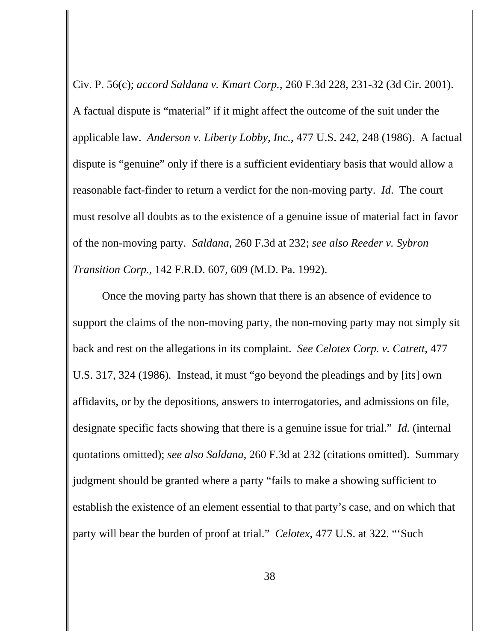Civ. P. 56(c); *accord Saldana v. Kmart Corp.*, 260 F.3d 228, 231-32 (3d Cir. 2001). A factual dispute is "material" if it might affect the outcome of the suit under the applicable law. *Anderson v. Liberty Lobby, Inc.*, 477 U.S. 242, 248 (1986). A factual dispute is "genuine" only if there is a sufficient evidentiary basis that would allow a reasonable fact-finder to return a verdict for the non-moving party. *Id*. The court must resolve all doubts as to the existence of a genuine issue of material fact in favor of the non-moving party. *Saldana*, 260 F.3d at 232; *see also Reeder v. Sybron Transition Corp.*, 142 F.R.D. 607, 609 (M.D. Pa. 1992).

Once the moving party has shown that there is an absence of evidence to support the claims of the non-moving party, the non-moving party may not simply sit back and rest on the allegations in its complaint. *See Celotex Corp. v. Catrett*, 477 U.S. 317, 324 (1986)*.* Instead, it must "go beyond the pleadings and by [its] own affidavits, or by the depositions, answers to interrogatories, and admissions on file, designate specific facts showing that there is a genuine issue for trial." *Id.* (internal quotations omitted); *see also Saldana*, 260 F.3d at 232 (citations omitted). Summary judgment should be granted where a party "fails to make a showing sufficient to establish the existence of an element essential to that party's case, and on which that party will bear the burden of proof at trial." *Celotex*, 477 U.S. at 322. "'Such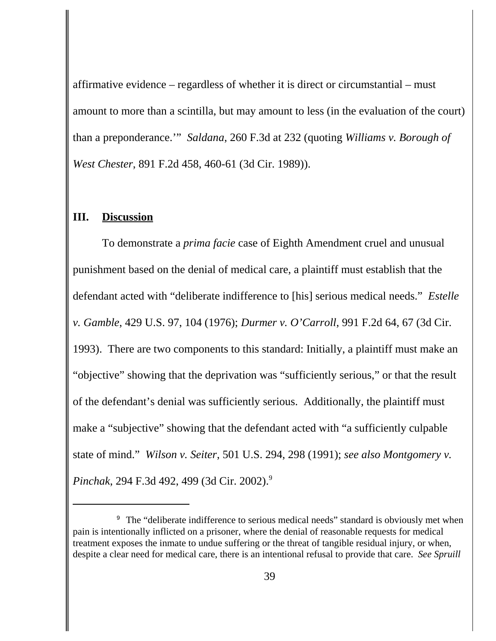affirmative evidence – regardless of whether it is direct or circumstantial – must amount to more than a scintilla, but may amount to less (in the evaluation of the court) than a preponderance.'" *Saldana*, 260 F.3d at 232 (quoting *Williams v. Borough of West Chester*, 891 F.2d 458, 460-61 (3d Cir. 1989)).

#### **III. Discussion**

To demonstrate a *prima facie* case of Eighth Amendment cruel and unusual punishment based on the denial of medical care, a plaintiff must establish that the defendant acted with "deliberate indifference to [his] serious medical needs." *Estelle v. Gamble*, 429 U.S. 97, 104 (1976); *Durmer v. O'Carroll*, 991 F.2d 64, 67 (3d Cir. 1993). There are two components to this standard: Initially, a plaintiff must make an "objective" showing that the deprivation was "sufficiently serious," or that the result of the defendant's denial was sufficiently serious. Additionally, the plaintiff must make a "subjective" showing that the defendant acted with "a sufficiently culpable state of mind." *Wilson v. Seiter*, 501 U.S. 294, 298 (1991); *see also Montgomery v. Pinchak*, 294 F.3d 492, 499 (3d Cir. 2002).9

<sup>&</sup>lt;sup>9</sup> The "deliberate indifference to serious medical needs" standard is obviously met when pain is intentionally inflicted on a prisoner, where the denial of reasonable requests for medical treatment exposes the inmate to undue suffering or the threat of tangible residual injury, or when, despite a clear need for medical care, there is an intentional refusal to provide that care. *See Spruill*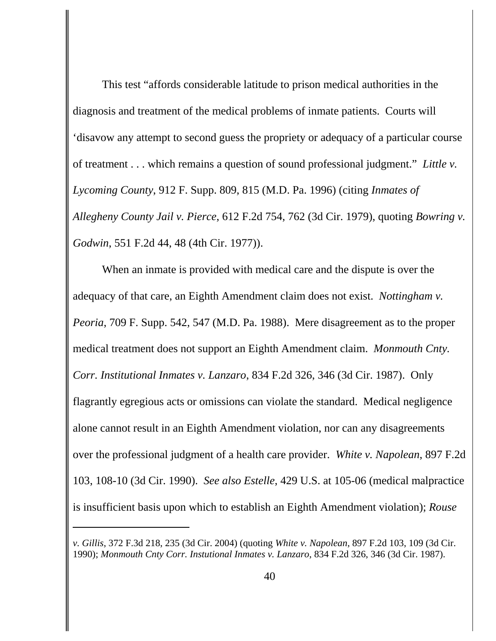This test "affords considerable latitude to prison medical authorities in the diagnosis and treatment of the medical problems of inmate patients. Courts will 'disavow any attempt to second guess the propriety or adequacy of a particular course of treatment . . . which remains a question of sound professional judgment." *Little v. Lycoming County*, 912 F. Supp. 809, 815 (M.D. Pa. 1996) (citing *Inmates of Allegheny County Jail v. Pierce*, 612 F.2d 754, 762 (3d Cir. 1979), quoting *Bowring v. Godwin*, 551 F.2d 44, 48 (4th Cir. 1977)).

When an inmate is provided with medical care and the dispute is over the adequacy of that care, an Eighth Amendment claim does not exist. *Nottingham v. Peoria*, 709 F. Supp. 542, 547 (M.D. Pa. 1988). Mere disagreement as to the proper medical treatment does not support an Eighth Amendment claim. *Monmouth Cnty. Corr. Institutional Inmates v. Lanzaro*, 834 F.2d 326, 346 (3d Cir. 1987). Only flagrantly egregious acts or omissions can violate the standard. Medical negligence alone cannot result in an Eighth Amendment violation, nor can any disagreements over the professional judgment of a health care provider. *White v. Napolean*, 897 F.2d 103, 108-10 (3d Cir. 1990). *See also Estelle*, 429 U.S. at 105-06 (medical malpractice is insufficient basis upon which to establish an Eighth Amendment violation); *Rouse*

*v. Gillis*, 372 F.3d 218, 235 (3d Cir. 2004) (quoting *White v. Napolean*, 897 F.2d 103, 109 (3d Cir. 1990); *Monmouth Cnty Corr. Instutional Inmates v. Lanzaro*, 834 F.2d 326, 346 (3d Cir. 1987).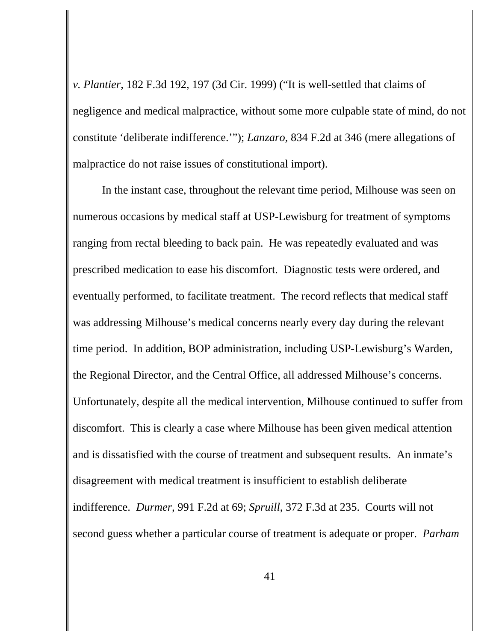*v. Plantier*, 182 F.3d 192, 197 (3d Cir. 1999) ("It is well-settled that claims of negligence and medical malpractice, without some more culpable state of mind, do not constitute 'deliberate indifference.'"); *Lanzaro*, 834 F.2d at 346 (mere allegations of malpractice do not raise issues of constitutional import).

In the instant case, throughout the relevant time period, Milhouse was seen on numerous occasions by medical staff at USP-Lewisburg for treatment of symptoms ranging from rectal bleeding to back pain. He was repeatedly evaluated and was prescribed medication to ease his discomfort. Diagnostic tests were ordered, and eventually performed, to facilitate treatment. The record reflects that medical staff was addressing Milhouse's medical concerns nearly every day during the relevant time period. In addition, BOP administration, including USP-Lewisburg's Warden, the Regional Director, and the Central Office, all addressed Milhouse's concerns. Unfortunately, despite all the medical intervention, Milhouse continued to suffer from discomfort. This is clearly a case where Milhouse has been given medical attention and is dissatisfied with the course of treatment and subsequent results. An inmate's disagreement with medical treatment is insufficient to establish deliberate indifference. *Durmer*, 991 F.2d at 69; *Spruill*, 372 F.3d at 235. Courts will not second guess whether a particular course of treatment is adequate or proper. *Parham*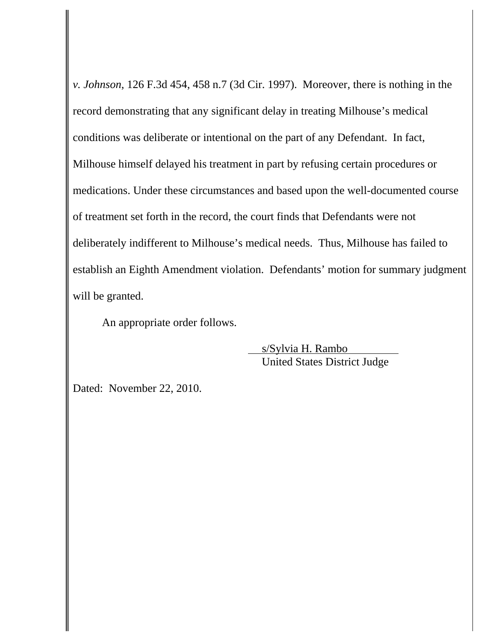*v. Johnson*, 126 F.3d 454, 458 n.7 (3d Cir. 1997). Moreover, there is nothing in the record demonstrating that any significant delay in treating Milhouse's medical conditions was deliberate or intentional on the part of any Defendant. In fact, Milhouse himself delayed his treatment in part by refusing certain procedures or medications. Under these circumstances and based upon the well-documented course of treatment set forth in the record, the court finds that Defendants were not deliberately indifferent to Milhouse's medical needs. Thus, Milhouse has failed to establish an Eighth Amendment violation. Defendants' motion for summary judgment will be granted.

An appropriate order follows.

 s/Sylvia H. Rambo United States District Judge

Dated: November 22, 2010.